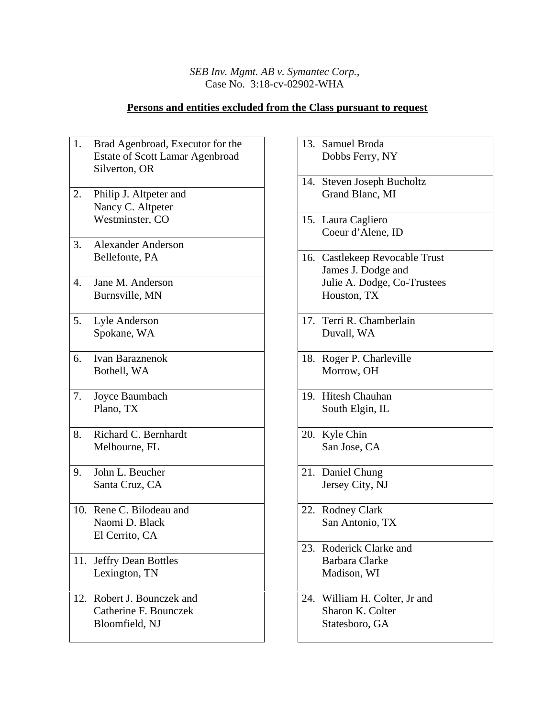## *SEB Inv. Mgmt. AB v. Symantec Corp.*, Case No. 3:18-cv-02902-WHA

## **Persons and entities excluded from the Class pursuant to request**

| 1.  | Brad Agenbroad, Executor for the       |
|-----|----------------------------------------|
|     | <b>Estate of Scott Lamar Agenbroad</b> |
|     | Silverton, OR                          |
|     |                                        |
| 2.  | Philip J. Altpeter and                 |
|     | Nancy C. Altpeter                      |
|     | Westminster, CO                        |
|     |                                        |
| 3.  | <b>Alexander Anderson</b>              |
|     | Bellefonte, PA                         |
|     |                                        |
| 4.  | Jane M. Anderson                       |
|     | Burnsville, MN                         |
|     |                                        |
| 5.  | Lyle Anderson                          |
|     | Spokane, WA                            |
|     |                                        |
| 6.  | <b>Ivan Baraznenok</b>                 |
|     | Bothell, WA                            |
|     |                                        |
| 7.  | Joyce Baumbach                         |
|     | Plano, TX                              |
|     |                                        |
| 8.  | Richard C. Bernhardt                   |
|     | Melbourne, FL                          |
|     |                                        |
| 9.  | John L. Beucher                        |
|     | Santa Cruz, CA                         |
|     |                                        |
| 10. | Rene C. Bilodeau and                   |
|     | Naomi D. Black                         |
|     | El Cerrito, CA                         |
|     |                                        |
|     | 11. Jeffry Dean Bottles                |
|     | Lexington, TN                          |
|     |                                        |
|     | 12. Robert J. Bounczek and             |
|     | Catherine F. Bounczek                  |
|     | Bloomfield, NJ                         |
|     |                                        |
|     |                                        |

|     | 13. Samuel Broda<br>Dobbs Ferry, NY                                                                |
|-----|----------------------------------------------------------------------------------------------------|
|     | 14. Steven Joseph Bucholtz                                                                         |
|     | Grand Blanc, MI                                                                                    |
|     | 15. Laura Cagliero<br>Coeur d'Alene, ID                                                            |
|     | 16. Castlekeep Revocable Trust<br>James J. Dodge and<br>Julie A. Dodge, Co-Trustees<br>Houston, TX |
|     | 17. Terri R. Chamberlain<br>Duvall, WA                                                             |
|     | 18. Roger P. Charleville<br>Morrow, OH                                                             |
|     | 19. Hitesh Chauhan<br>South Elgin, IL                                                              |
|     | 20. Kyle Chin<br>San Jose, CA                                                                      |
|     | 21. Daniel Chung<br>Jersey City, NJ                                                                |
|     | 22. Rodney Clark<br>San Antonio, TX                                                                |
| 23. | Roderick Clarke and<br><b>Barbara Clarke</b><br>Madison, WI                                        |
| 24. | William H. Colter, Jr and<br>Sharon K. Colter<br>Statesboro, GA                                    |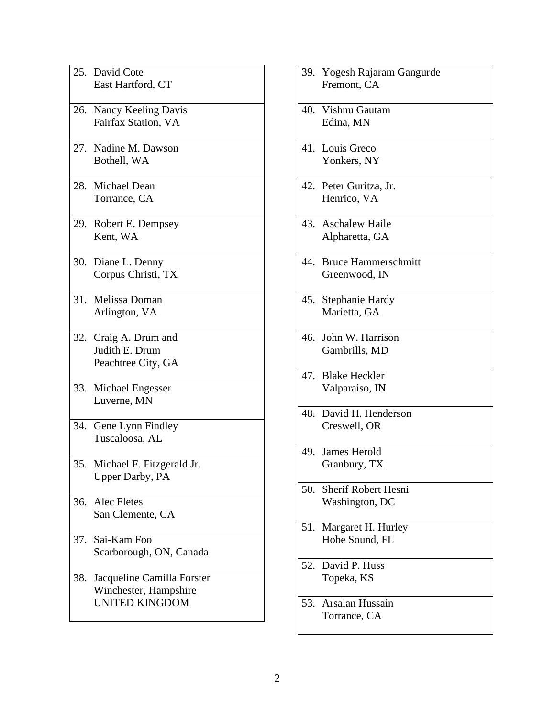|     | 25. David Cote                |
|-----|-------------------------------|
|     | East Hartford, CT             |
|     |                               |
|     |                               |
|     | 26. Nancy Keeling Davis       |
|     | Fairfax Station, VA           |
|     |                               |
|     | 27. Nadine M. Dawson          |
|     | Bothell, WA                   |
|     |                               |
|     |                               |
|     | 28. Michael Dean              |
|     | Torrance, CA                  |
|     |                               |
|     |                               |
|     | 29. Robert E. Dempsey         |
|     | Kent, WA                      |
|     |                               |
|     | 30. Diane L. Denny            |
|     | Corpus Christi, TX            |
|     |                               |
|     |                               |
|     | 31. Melissa Doman             |
|     | Arlington, VA                 |
|     |                               |
|     | 32. Craig A. Drum and         |
|     | Judith E. Drum                |
|     |                               |
|     | Peachtree City, GA            |
|     |                               |
|     | 33. Michael Engesser          |
|     | Luverne, MN                   |
|     |                               |
|     |                               |
|     | 34. Gene Lynn Findley         |
|     | Tuscaloosa, AL                |
|     |                               |
|     | 35. Michael F. Fitzgerald Jr. |
|     | <b>Upper Darby</b> , PA       |
|     |                               |
|     |                               |
|     | 36. Alec Fletes               |
|     | San Clemente, CA              |
|     |                               |
|     | 37. Sai-Kam Foo               |
|     |                               |
|     | Scarborough, ON, Canada       |
|     |                               |
| 38. | Jacqueline Camilla Forster    |
|     | Winchester, Hampshire         |
|     | <b>UNITED KINGDOM</b>         |
|     |                               |
|     |                               |

39. Yogesh Rajaram Gangurde Fremont, CA 40. Vishnu Gautam Edina, MN 41. Louis Greco Yonkers, NY 42. Peter Guritza, Jr. Henrico, VA 43. Aschalew Haile Alpharetta, GA 44. Bruce Hammerschmitt Greenwood, IN 45. Stephanie Hardy Marietta, GA 46. John W. Harrison Gambrills, MD 47. Blake Heckler Valparaiso, IN 48. David H. Henderson Creswell, OR 49. James Herold Granbury, TX 50. Sherif Robert Hesni Washington, DC 51. Margaret H. Hurley Hobe Sound, FL 52. David P. Huss Topeka, KS 53. Arsalan Hussain Torrance, CA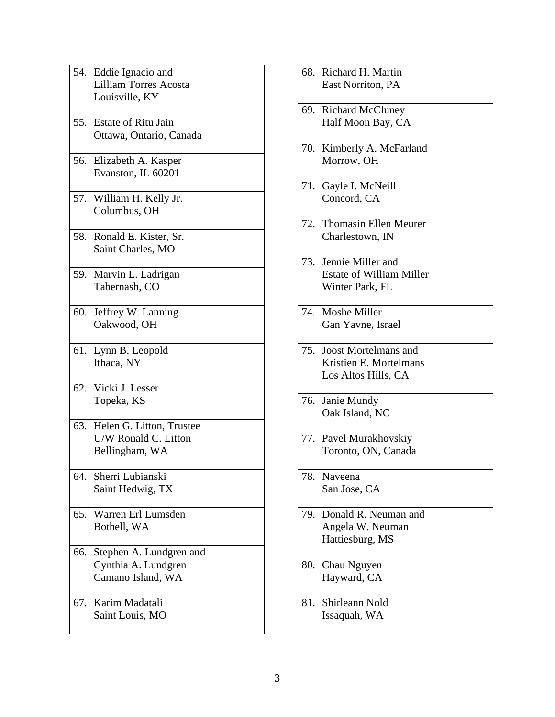|     | 54. Eddie Ignacio and        |
|-----|------------------------------|
|     | <b>Lilliam Torres Acosta</b> |
|     | Louisville, KY               |
|     |                              |
|     | 55. Estate of Ritu Jain      |
|     | Ottawa, Ontario, Canada      |
|     |                              |
|     | 56. Elizabeth A. Kasper      |
|     | Evanston, IL 60201           |
|     |                              |
|     |                              |
|     | 57. William H. Kelly Jr.     |
|     | Columbus, OH                 |
|     |                              |
|     | 58. Ronald E. Kister, Sr.    |
|     | Saint Charles, MO            |
|     |                              |
|     | 59. Marvin L. Ladrigan       |
|     | Tabernash, CO                |
|     |                              |
|     | 60. Jeffrey W. Lanning       |
|     | Oakwood, OH                  |
|     |                              |
|     | 61. Lynn B. Leopold          |
|     |                              |
|     | Ithaca, NY                   |
|     |                              |
|     | 62. Vicki J. Lesser          |
|     | Topeka, KS                   |
|     |                              |
|     | 63. Helen G. Litton, Trustee |
|     | U/W Ronald C. Litton         |
|     | Bellingham, WA               |
|     |                              |
|     | 64. Sherri Lubianski         |
|     | Saint Hedwig, TX             |
|     |                              |
| 65. | Warren Erl Lumsden           |
|     | Bothell, WA                  |
|     |                              |
|     |                              |
|     | 66. Stephen A. Lundgren and  |
|     | Cynthia A. Lundgren          |
|     | Camano Island, WA            |
|     |                              |
|     | 67. Karim Madatali           |
|     | Saint Louis, MO              |
|     |                              |

|     | 68. Richard H. Martin           |
|-----|---------------------------------|
|     | East Norriton, PA               |
|     | 69. Richard McCluney            |
|     | Half Moon Bay, CA               |
|     | 70. Kimberly A. McFarland       |
|     | Morrow, OH                      |
|     | 71. Gayle I. McNeill            |
|     | Concord, CA                     |
|     | 72. Thomasin Ellen Meurer       |
|     | Charlestown, IN                 |
|     | 73. Jennie Miller and           |
|     | <b>Estate of William Miller</b> |
|     | Winter Park, FL                 |
|     | 74. Moshe Miller                |
|     | Gan Yavne, Israel               |
|     | 75. Joost Mortelmans and        |
|     | Kristien E. Mortelmans          |
|     | Los Altos Hills, CA             |
|     | 76. Janie Mundy                 |
|     | Oak Island, NC                  |
|     | 77. Pavel Murakhovskiy          |
|     | Toronto, ON, Canada             |
| 78. | Naveena                         |
|     | San Jose, CA                    |
|     | 79. Donald R. Neuman and        |
|     | Angela W. Neuman                |
|     | Hattiesburg, MS                 |
| 80. | Chau Nguyen                     |
|     | Hayward, CA                     |
|     | 81. Shirleann Nold              |
|     | Issaquah, WA                    |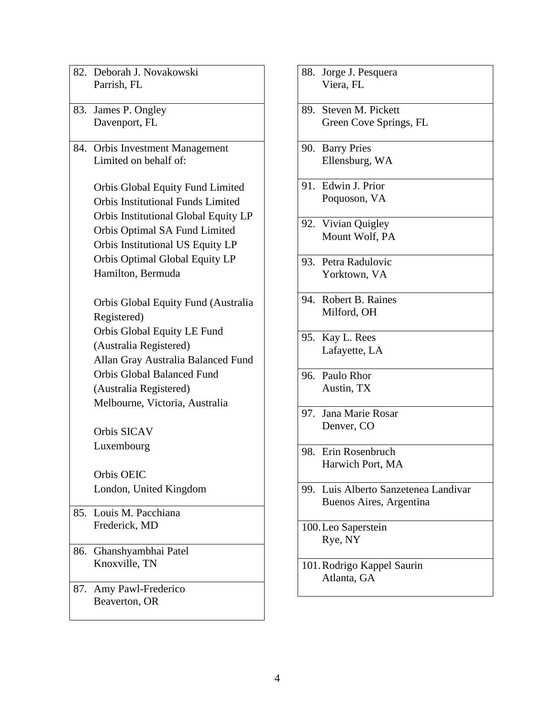| 82. Deborah J. Novakowski                |
|------------------------------------------|
| Parrish, FL                              |
|                                          |
| 83. James P. Ongley                      |
| Davenport, FL                            |
| 84. Orbis Investment Management          |
| Limited on behalf of:                    |
|                                          |
| Orbis Global Equity Fund Limited         |
| <b>Orbis Institutional Funds Limited</b> |
| Orbis Institutional Global Equity LP     |
| Orbis Optimal SA Fund Limited            |
| Orbis Institutional US Equity LP         |
| Orbis Optimal Global Equity LP           |
| Hamilton, Bermuda                        |
|                                          |
| Orbis Global Equity Fund (Australia      |
| Registered)                              |
| Orbis Global Equity LE Fund              |
| (Australia Registered)                   |
| Allan Gray Australia Balanced Fund       |
| <b>Orbis Global Balanced Fund</b>        |
| (Australia Registered)                   |
| Melbourne, Victoria, Australia           |
| Orbis SICAV                              |
| Luxembourg                               |
| Orbis OEIC                               |
| London, United Kingdom                   |
| 85. Louis M. Pacchiana                   |
| Frederick, MD                            |
|                                          |
| 86. Ghanshyambhai Patel<br>Knoxville, TN |
|                                          |
| 87. Amy Pawl-Frederico                   |
| Beaverton, OR                            |
|                                          |

88. Jorge J. Pesquera Viera, FL 89. Steven M. Pickett Green Cove Springs, FL 90. Barry Pries Ellensburg, WA 91. Edwin J. Prior Poquoson, VA 92. Vivian Quigley Mount Wolf, PA 93. Petra Radulovic Yorktown, VA 94. Robert B. Raines Milford, OH 95. Kay L. Rees Lafayette, LA 96. Paulo Rhor Austin, TX 97. Jana Marie Rosar Denver, CO 98. Erin Rosenbruch Harwich Port, MA 99. Luis Alberto Sanzetenea Landivar Buenos Aires, Argentina 100.Leo Saperstein Rye, NY 101.Rodrigo Kappel Saurin Atlanta, GA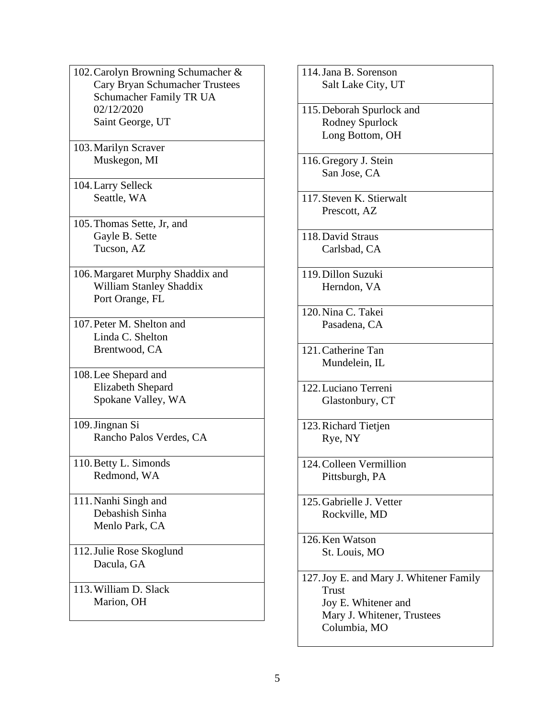- 102.Carolyn Browning Schumacher & Cary Bryan Schumacher Trustees Schumacher Family TR UA 02/12/2020 Saint George, UT
- 103.Marilyn Scraver Muskegon, MI
- 104.Larry Selleck Seattle, WA
- 105.Thomas Sette, Jr, and Gayle B. Sette Tucson, AZ
- 106.Margaret Murphy Shaddix and William Stanley Shaddix Port Orange, FL
- 107.Peter M. Shelton and Linda C. Shelton Brentwood, CA
- 108.Lee Shepard and Elizabeth Shepard Spokane Valley, WA
- 109.Jingnan Si Rancho Palos Verdes, CA
- 110.Betty L. Simonds Redmond, WA
- 111.Nanhi Singh and Debashish Sinha Menlo Park, CA
- 112.Julie Rose Skoglund Dacula, GA
- 113.William D. Slack Marion, OH

114.Jana B. Sorenson Salt Lake City, UT 115.Deborah Spurlock and Rodney Spurlock Long Bottom, OH 116.Gregory J. Stein San Jose, CA 117.Steven K. Stierwalt Prescott, AZ 118.David Straus Carlsbad, CA 119.Dillon Suzuki Herndon, VA 120.Nina C. Takei Pasadena, CA 121.Catherine Tan Mundelein, IL 122.Luciano Terreni Glastonbury, CT 123.Richard Tietjen Rye, NY 124.Colleen Vermillion Pittsburgh, PA 125.Gabrielle J. Vetter Rockville, MD 126.Ken Watson St. Louis, MO 127.Joy E. and Mary J. Whitener Family Trust Joy E. Whitener and Mary J. Whitener, Trustees Columbia, MO